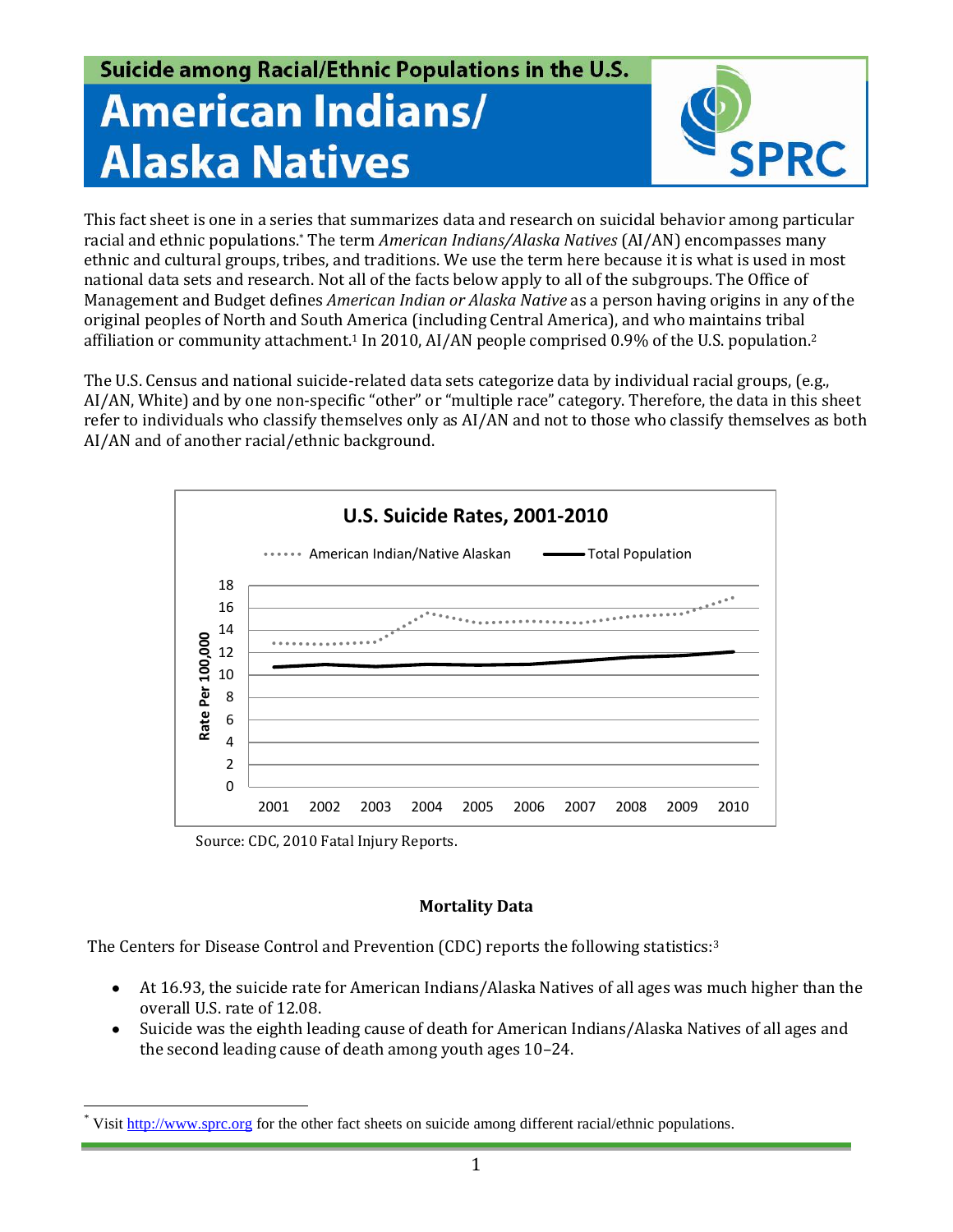# Suicide among Racial/Ethnic Populations in the U.S. **American Indians/ Alaska Natives**



This fact sheet is one in a series that summarizes data and research on suicidal behavior among particular racial and ethnic populations.\* The term *American Indians/Alaska Natives* (AI/AN) encompasses many ethnic and cultural groups, tribes, and traditions. We use the term here because it is what is used in most national data sets and research. Not all of the facts below apply to all of the subgroups. The Office of Management and Budget defines *American Indian or Alaska Native* as a person having origins in any of the original peoples of North and South America (including Central America), and who maintains tribal affiliation or community attachment.<sup>1</sup> In 2010, AI/AN people comprised 0.9% of the U.S. population.<sup>2</sup>

The U.S. Census and national suicide-related data sets categorize data by individual racial groups, (e.g., AI/AN, White) and by one non-specific "other" or "multiple race" category. Therefore, the data in this sheet refer to individuals who classify themselves only as AI/AN and not to those who classify themselves as both AI/AN and of another racial/ethnic background.



Source: CDC, 2010 Fatal Injury Reports.

# **Mortality Data**

The Centers for Disease Control and Prevention (CDC) reports the following statistics:<sup>3</sup>

- At 16.93, the suicide rate for American Indians/Alaska Natives of all ages was much higher than the overall U.S. rate of 12.08.
- Suicide was the eighth leading cause of death for American Indians/Alaska Natives of all ages and  $\bullet$ the second leading cause of death among youth ages 10–24.

 $\overline{a}$ Visi[t http://www.sprc.org](http://www.sprc.org/) for the other fact sheets on suicide among different racial/ethnic populations.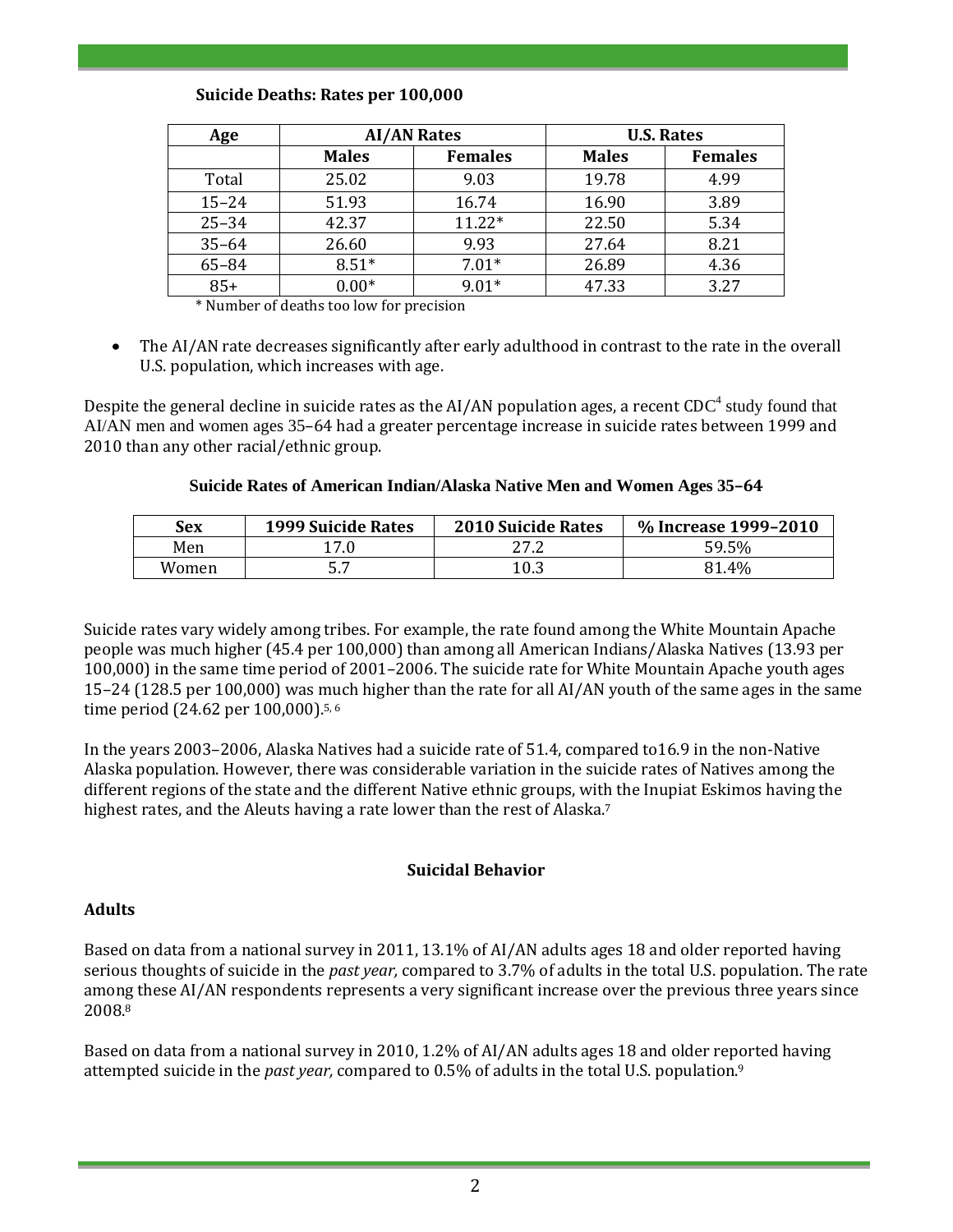# **Suicide Deaths: Rates per 100,000**

| Age       | <b>AI/AN Rates</b> |                | <b>U.S. Rates</b> |                |
|-----------|--------------------|----------------|-------------------|----------------|
|           | <b>Males</b>       | <b>Females</b> | <b>Males</b>      | <b>Females</b> |
| Total     | 25.02              | 9.03           | 19.78             | 4.99           |
| $15 - 24$ | 51.93              | 16.74          | 16.90             | 3.89           |
| $25 - 34$ | 42.37              | $11.22*$       | 22.50             | 5.34           |
| $35 - 64$ | 26.60              | 9.93           | 27.64             | 8.21           |
| 65-84     | $8.51*$            | $7.01*$        | 26.89             | 4.36           |
| $85+$     | $0.00*$            | $9.01*$        | 47.33             | 3.27           |

\* Number of deaths too low for precision

The AI/AN rate decreases significantly after early adulthood in contrast to the rate in the overall U.S. population, which increases with age.

Despite the general decline in suicide rates as the AI/AN population ages, a recent CDC<sup>4</sup> study found that AI/AN men and women ages 35–64 had a greater percentage increase in suicide rates between 1999 and 2010 than any other racial/ethnic group.

# **Suicide Rates of American Indian/Alaska Native Men and Women Ages 35–64**

| Sex   | <b>1999 Suicide Rates</b> | <b>2010 Suicide Rates</b> | % Increase 1999-2010 |
|-------|---------------------------|---------------------------|----------------------|
| Men   | 17.0                      | 27.2                      | 59.5%                |
| Women | - -                       | 10.3                      | 81.4%                |

Suicide rates vary widely among tribes. For example, the rate found among the White Mountain Apache people was much higher (45.4 per 100,000) than among all American Indians/Alaska Natives (13.93 per 100,000) in the same time period of 2001–2006. The suicide rate for White Mountain Apache youth ages 15–24 (128.5 per 100,000) was much higher than the rate for all AI/AN youth of the same ages in the same time period (24.62 per 100,000). 5, 6

In the years 2003–2006, Alaska Natives had a suicide rate of 51.4, compared to16.9 in the non-Native Alaska population. However, there was considerable variation in the suicide rates of Natives among the different regions of the state and the different Native ethnic groups, with the Inupiat Eskimos having the highest rates, and the Aleuts having a rate lower than the rest of Alaska.<sup>7</sup>

# **Suicidal Behavior**

# **Adults**

Based on data from a national survey in 2011, 13.1% of AI/AN adults ages 18 and older reported having serious thoughts of suicide in the *past year,* compared to 3.7% of adults in the total U.S. population. The rate among these AI/AN respondents represents a very significant increase over the previous three years since 2008.<sup>8</sup>

Based on data from a national survey in 2010, 1.2% of AI/AN adults ages 18 and older reported having attempted suicide in the *past year,* compared to 0.5% of adults in the total U.S. population. 9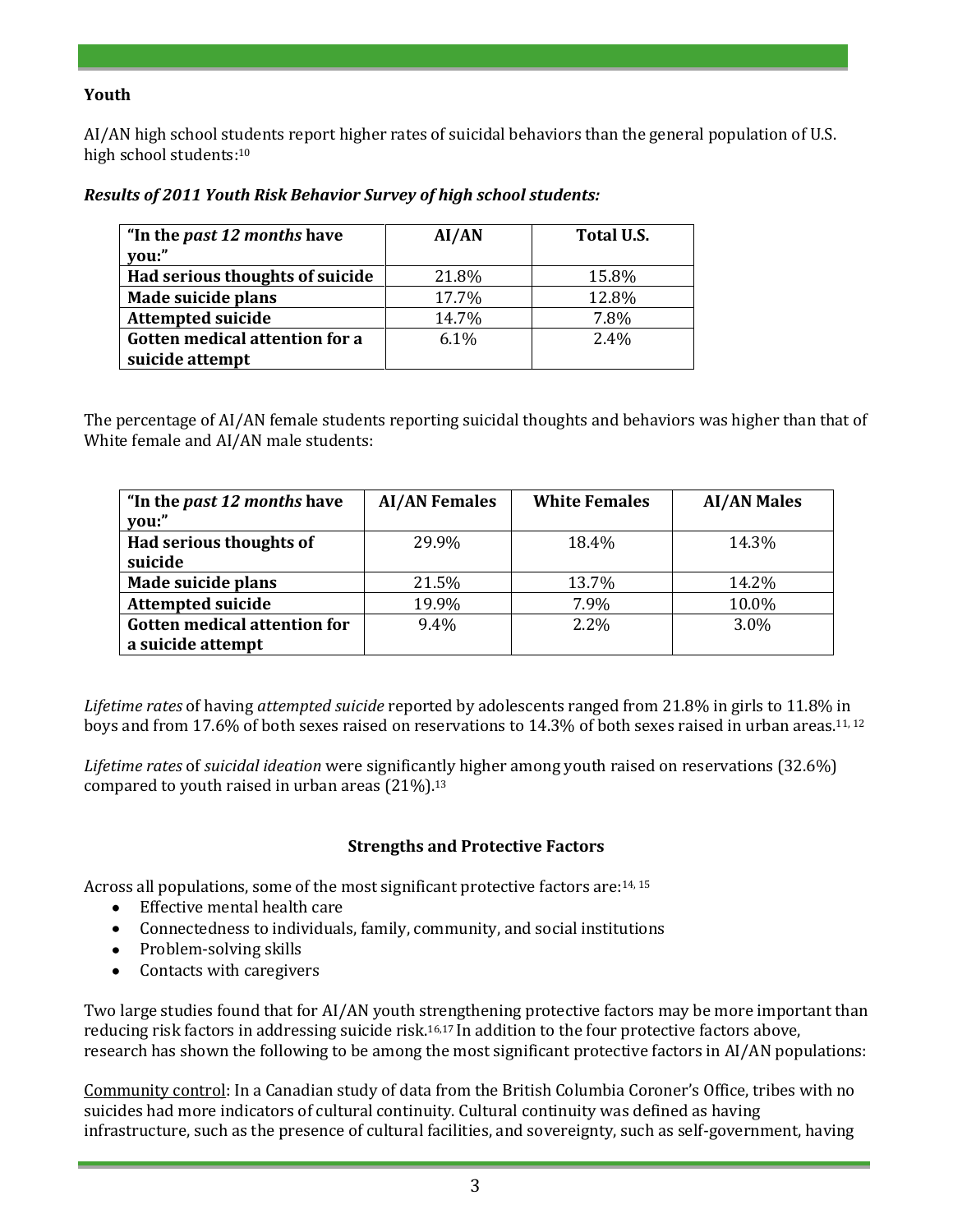# **Youth**

AI/AN high school students report higher rates of suicidal behaviors than the general population of U.S. high school students:<sup>10</sup>

| "In the <i>past 12 months</i> have<br>vou:" | AI/AN | Total U.S. |
|---------------------------------------------|-------|------------|
| Had serious thoughts of suicide             | 21.8% | 15.8%      |
| Made suicide plans                          | 17.7% | 12.8%      |
| <b>Attempted suicide</b>                    | 14.7% | 7.8%       |
| Gotten medical attention for a              | 6.1%  | 2.4%       |
| suicide attempt                             |       |            |

#### *Results of 2011 Youth Risk Behavior Survey of high school students:*

The percentage of AI/AN female students reporting suicidal thoughts and behaviors was higher than that of White female and AI/AN male students:

| "In the <i>past 12 months</i> have<br>you:"       | <b>AI/AN Females</b> | <b>White Females</b> | <b>AI/AN Males</b> |
|---------------------------------------------------|----------------------|----------------------|--------------------|
| Had serious thoughts of<br>suicide                | 29.9%                | 18.4%                | 14.3%              |
| Made suicide plans                                | 21.5%                | 13.7%                | 14.2%              |
| <b>Attempted suicide</b>                          | 19.9%                | 7.9%                 | 10.0%              |
| Gotten medical attention for<br>a suicide attempt | 9.4%                 | $2.2\%$              | 3.0%               |

*Lifetime rates* of having *attempted suicide* reported by adolescents ranged from 21.8% in girls to 11.8% in boys and from 17.6% of both sexes raised on reservations to 14.3% of both sexes raised in urban areas.<sup>11, 12</sup>

*Lifetime rates* of *suicidal ideation* were significantly higher among youth raised on reservations (32.6%) compared to youth raised in urban areas (21%).<sup>13</sup>

# **Strengths and Protective Factors**

Across all populations, some of the most significant protective factors are:<sup>14, 15</sup>

- Effective mental health care
- Connectedness to individuals, family, community, and social institutions
- Problem-solving skills
- Contacts with caregivers  $\bullet$

Two large studies found that for AI/AN youth strengthening protective factors may be more important than reducing risk factors in addressing suicide risk.16,17 In addition to the four protective factors above, research has shown the following to be among the most significant protective factors in AI/AN populations:

Community control: In a Canadian study of data from the British Columbia Coroner's Office, tribes with no suicides had more indicators of cultural continuity. Cultural continuity was defined as having infrastructure, such as the presence of cultural facilities, and sovereignty, such as self-government, having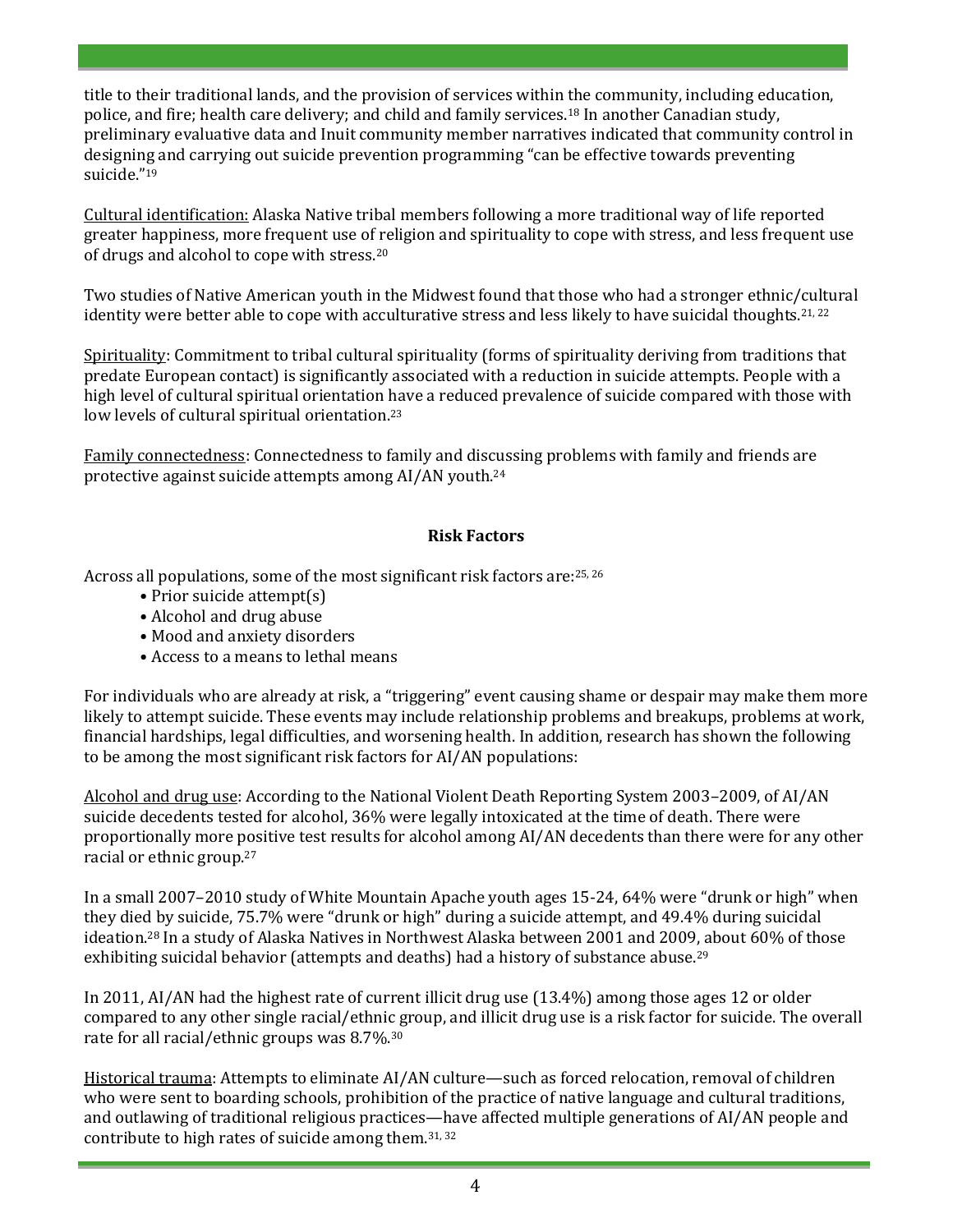title to their traditional lands, and the provision of services within the community, including education, police, and fire; health care delivery; and child and family services. <sup>18</sup> In another Canadian study, preliminary evaluative data and Inuit community member narratives indicated that community control in designing and carrying out suicide prevention programming "can be effective towards preventing suicide." 19

Cultural identification: Alaska Native tribal members following a more traditional way of life reported greater happiness, more frequent use of religion and spirituality to cope with stress, and less frequent use of drugs and alcohol to cope with stress.<sup>20</sup>

Two studies of Native American youth in the Midwest found that those who had a stronger ethnic/cultural identity were better able to cope with acculturative stress and less likely to have suicidal thoughts.<sup>21, 22</sup>

Spirituality: Commitment to tribal cultural spirituality (forms of spirituality deriving from traditions that predate European contact) is significantly associated with a reduction in suicide attempts. People with a high level of cultural spiritual orientation have a reduced prevalence of suicide compared with those with low levels of cultural spiritual orientation.<sup>23</sup>

Family connectedness: Connectedness to family and discussing problems with family and friends are protective against suicide attempts among AI/AN youth.<sup>24</sup>

# **Risk Factors**

Across all populations, some of the most significant risk factors are:25, 26

- Prior suicide attempt(s)
- Alcohol and drug abuse
- Mood and anxiety disorders
- Access to a means to lethal means

For individuals who are already at risk, a "triggering" event causing shame or despair may make them more likely to attempt suicide. These events may include relationship problems and breakups, problems at work, financial hardships, legal difficulties, and worsening health. In addition, research has shown the following to be among the most significant risk factors for AI/AN populations:

Alcohol and drug use: According to the National Violent Death Reporting System 2003–2009, of AI/AN suicide decedents tested for alcohol, 36% were legally intoxicated at the time of death. There were proportionally more positive test results for alcohol among AI/AN decedents than there were for any other racial or ethnic group.<sup>27</sup>

In a small 2007–2010 study of White Mountain Apache youth ages 15-24, 64% were "drunk or high" when they died by suicide, 75.7% were "drunk or high" during a suicide attempt, and 49.4% during suicidal ideation.<sup>28</sup> In a study of Alaska Natives in Northwest Alaska between 2001 and 2009, about 60% of those exhibiting suicidal behavior (attempts and deaths) had a history of substance abuse.<sup>29</sup>

In 2011, AI/AN had the highest rate of current illicit drug use (13.4%) among those ages 12 or older compared to any other single racial/ethnic group, and illicit drug use is a risk factor for suicide. The overall rate for all racial/ethnic groups was 8.7%. 30

Historical trauma: Attempts to eliminate AI/AN culture—such as forced relocation, removal of children who were sent to boarding schools, prohibition of the practice of native language and cultural traditions, and outlawing of traditional religious practices—have affected multiple generations of AI/AN people and contribute to high rates of suicide among them.31, 32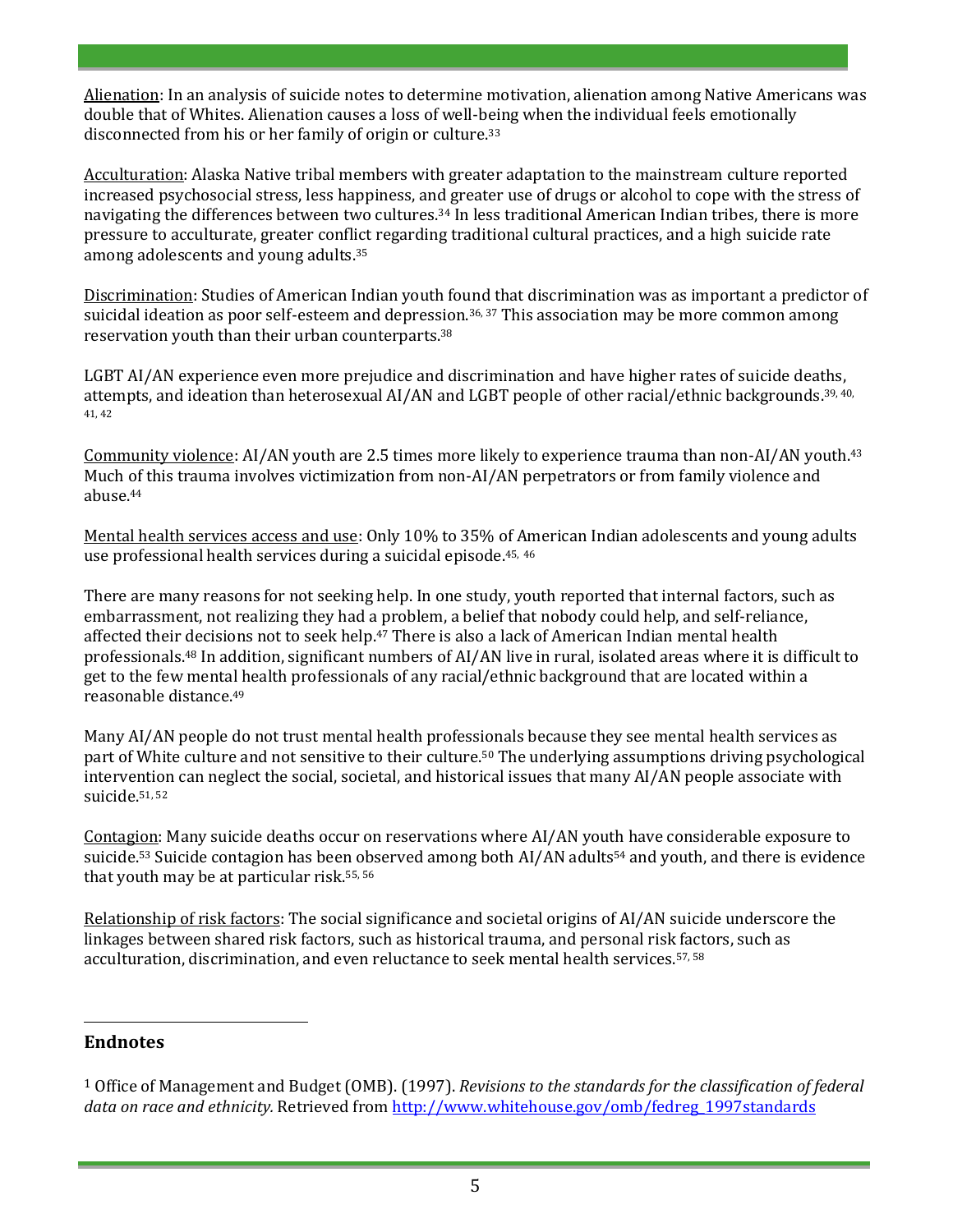Alienation: In an analysis of suicide notes to determine motivation, alienation among Native Americans was double that of Whites. Alienation causes a loss of well-being when the individual feels emotionally disconnected from his or her family of origin or culture.<sup>33</sup>

Acculturation: Alaska Native tribal members with greater adaptation to the mainstream culture reported increased psychosocial stress, less happiness, and greater use of drugs or alcohol to cope with the stress of navigating the differences between two cultures. <sup>34</sup> In less traditional American Indian tribes, there is more pressure to acculturate, greater conflict regarding traditional cultural practices, and a high suicide rate among adolescents and young adults. 35

Discrimination: Studies of American Indian youth found that discrimination was as important a predictor of suicidal ideation as poor self-esteem and depression.<sup>36, 37</sup> This association may be more common among reservation youth than their urban counterparts.<sup>38</sup>

LGBT AI/AN experience even more prejudice and discrimination and have higher rates of suicide deaths, attempts, and ideation than heterosexual AI/AN and LGBT people of other racial/ethnic backgrounds.<sup>39, 40,</sup> 41, 42

Community violence: AI/AN youth are 2.5 times more likely to experience trauma than non-AI/AN youth.<sup>43</sup> Much of this trauma involves victimization from non-AI/AN perpetrators or from family violence and abuse. 44

Mental health services access and use: Only 10% to 35% of American Indian adolescents and young adults use professional health services during a suicidal episode.<sup>45, 46</sup>

There are many reasons for not seeking help. In one study, youth reported that internal factors, such as embarrassment, not realizing they had a problem, a belief that nobody could help, and self-reliance, affected their decisions not to seek help.<sup>47</sup> There is also a lack of American Indian mental health professionals. <sup>48</sup> In addition, significant numbers of AI/AN live in rural, isolated areas where it is difficult to get to the few mental health professionals of any racial/ethnic background that are located within a reasonable distance. 49

Many AI/AN people do not trust mental health professionals because they see mental health services as part of White culture and not sensitive to their culture. <sup>50</sup> The underlying assumptions driving psychological intervention can neglect the social, societal, and historical issues that many AI/AN people associate with suicide.51, 52

Contagion: Many suicide deaths occur on reservations where AI/AN youth have considerable exposure to suicide.<sup>53</sup> Suicide contagion has been observed among both AI/AN adults<sup>54</sup> and youth, and there is evidence that youth may be at particular risk. 55, 56

Relationship of risk factors: The social significance and societal origins of AI/AN suicide underscore the linkages between shared risk factors, such as historical trauma, and personal risk factors, such as acculturation, discrimination, and even reluctance to seek mental health services.57, 58

# **Endnotes**

 $\overline{a}$ 

<sup>1</sup> Office of Management and Budget (OMB). (1997). *Revisions to the standards for the classification of federal*  data on race and ethnicity. Retrieved from [http://www.whitehouse.gov/omb/fedreg\\_1997standards](http://www.whitehouse.gov/omb/fedreg_1997standards)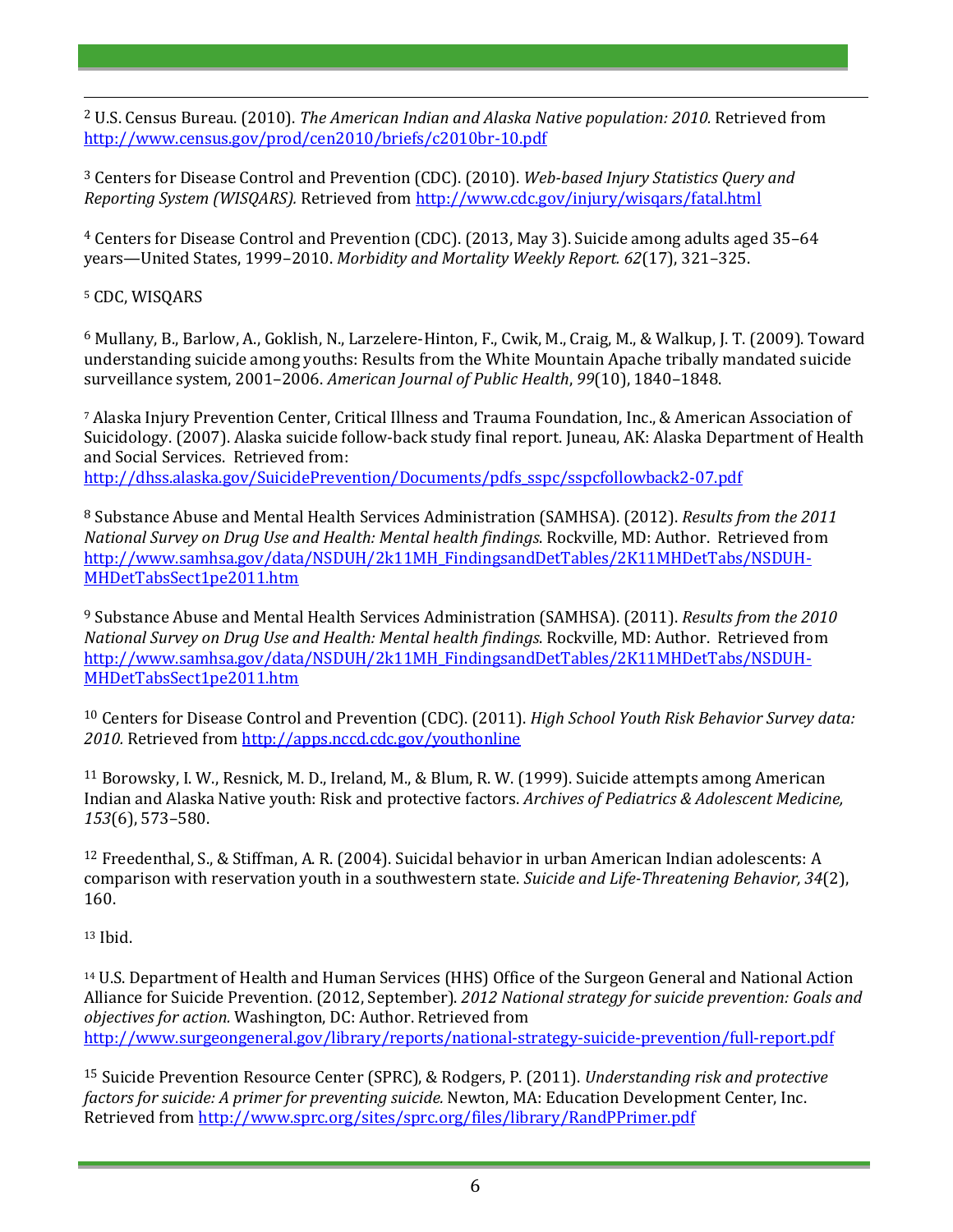<sup>2</sup> U.S. Census Bureau. (2010). *The American Indian and Alaska Native population: 2010.* Retrieved from <http://www.census.gov/prod/cen2010/briefs/c2010br-10.pdf>

<sup>3</sup> Centers for Disease Control and Prevention (CDC). (2010). *Web-based Injury Statistics Query and Reporting System (WISQARS).* Retrieved from<http://www.cdc.gov/injury/wisqars/fatal.html>

<sup>4</sup> Centers for Disease Control and Prevention (CDC). (2013, May 3). Suicide among adults aged 35–64 years—United States, 1999–2010. *Morbidity and Mortality Weekly Report. 62*(17), 321–325.

<sup>5</sup> CDC, WISQARS

 $\overline{a}$ 

<sup>6</sup> Mullany, B., Barlow, A., Goklish, N., Larzelere-Hinton, F., Cwik, M., Craig, M., & Walkup, J. T. (2009). Toward understanding suicide among youths: Results from the White Mountain Apache tribally mandated suicide surveillance system, 2001–2006. *American Journal of Public Health*, *99*(10), 1840–1848.

<sup>7</sup> Alaska Injury Prevention Center, Critical Illness and Trauma Foundation, Inc., & American Association of Suicidology. (2007). Alaska suicide follow-back study final report. Juneau, AK: Alaska Department of Health and Social Services. Retrieved from: [http://dhss.alaska.gov/SuicidePrevention/Documents/pdfs\\_sspc/sspcfollowback2-07.pdf](http://dhss.alaska.gov/SuicidePrevention/Documents/pdfs_sspc/sspcfollowback2-07.pdf)

<sup>8</sup> Substance Abuse and Mental Health Services Administration (SAMHSA). (2012). *Results from the 2011 National Survey on Drug Use and Health: Mental health findings*. Rockville, MD: Author. Retrieved from [http://www.samhsa.gov/data/NSDUH/2k11MH\\_FindingsandDetTables/2K11MHDetTabs/NSDUH-](http://www.samhsa.gov/data/NSDUH/2k11MH_FindingsandDetTables/2K11MHDetTabs/NSDUH-MHDetTabsSect1pe2011.htm)[MHDetTabsSect1pe2011.htm](http://www.samhsa.gov/data/NSDUH/2k11MH_FindingsandDetTables/2K11MHDetTabs/NSDUH-MHDetTabsSect1pe2011.htm)

<sup>9</sup> Substance Abuse and Mental Health Services Administration (SAMHSA). (2011). *Results from the 2010 National Survey on Drug Use and Health: Mental health findings*. Rockville, MD: Author. Retrieved from [http://www.samhsa.gov/data/NSDUH/2k11MH\\_FindingsandDetTables/2K11MHDetTabs/NSDUH-](http://www.samhsa.gov/data/NSDUH/2k11MH_FindingsandDetTables/2K11MHDetTabs/NSDUH-MHDetTabsSect1pe2011.htm)[MHDetTabsSect1pe2011.htm](http://www.samhsa.gov/data/NSDUH/2k11MH_FindingsandDetTables/2K11MHDetTabs/NSDUH-MHDetTabsSect1pe2011.htm)

<sup>10</sup> Centers for Disease Control and Prevention (CDC). (2011). *High School Youth Risk Behavior Survey data: 2010.* Retrieved fro[m http://apps.nccd.cdc.gov/youthonline](http://apps.nccd.cdc.gov/youthonline)

<sup>11</sup> Borowsky, I. W., Resnick, M. D., Ireland, M., & Blum, R. W. (1999). Suicide attempts among American Indian and Alaska Native youth: Risk and protective factors. *Archives of Pediatrics & Adolescent Medicine, 153*(6), 573–580.

<sup>12</sup> Freedenthal, S., & Stiffman, A. R. (2004). Suicidal behavior in urban American Indian adolescents: A comparison with reservation youth in a southwestern state. *Suicide and Life-Threatening Behavior, 34*(2), 160.

<sup>13</sup> Ibid.

<sup>14</sup> U.S. Department of Health and Human Services (HHS) Office of the Surgeon General and National Action Alliance for Suicide Prevention. (2012, September). *2012 National strategy for suicide prevention: Goals and objectives for action.* Washington, DC: Author. Retrieved from <http://www.surgeongeneral.gov/library/reports/national-strategy-suicide-prevention/full-report.pdf>

<sup>15</sup> Suicide Prevention Resource Center (SPRC), & Rodgers, P. (2011). *Understanding risk and protective factors for suicide: A primer for preventing suicide.* Newton, MA: Education Development Center, Inc. Retrieved fro[m http://www.sprc.org/sites/sprc.org/files/library/RandPPrimer.pdf](http://www.sprc.org/sites/sprc.org/files/library/RandPPrimer.pdf)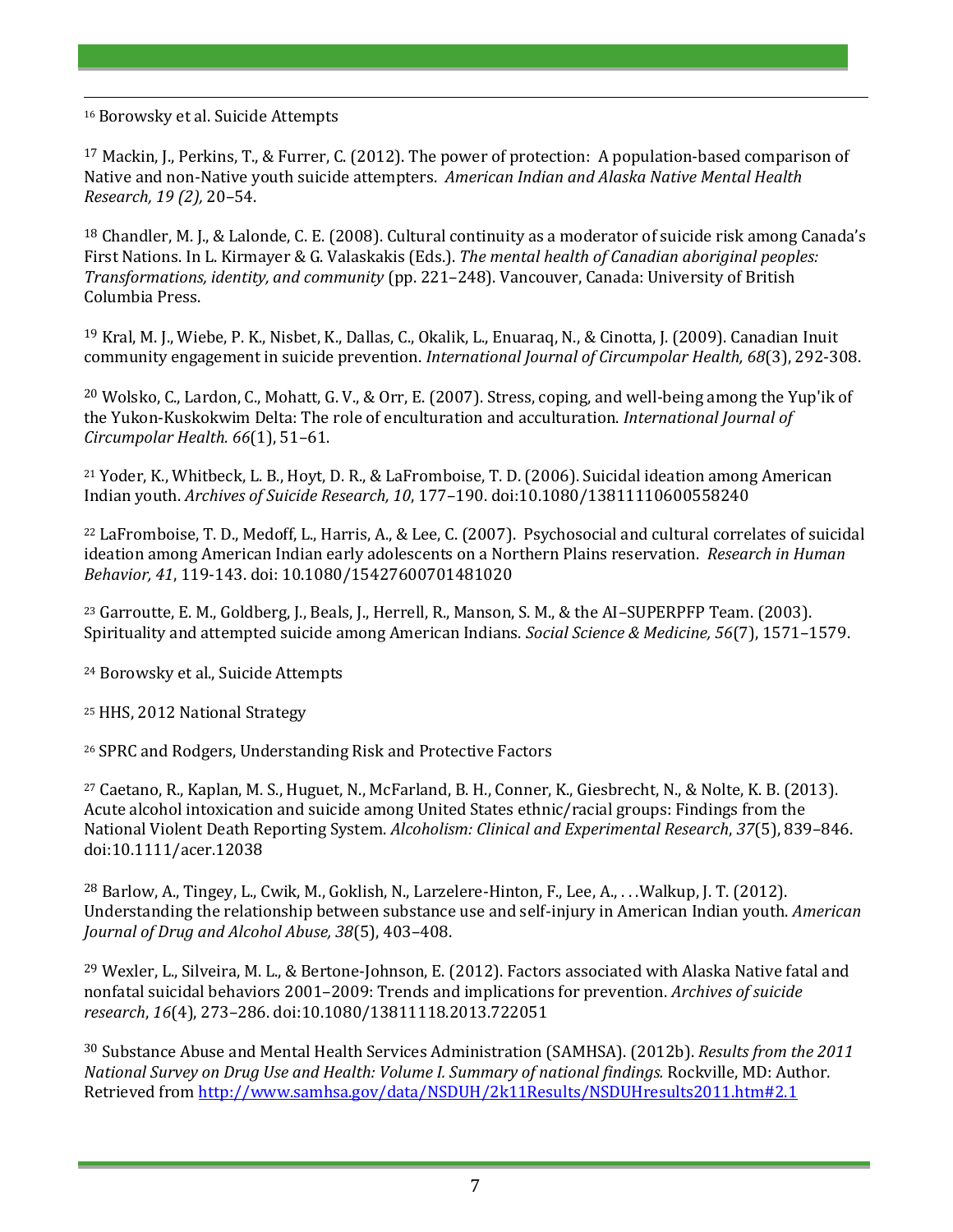<sup>16</sup> Borowsky et al. Suicide Attempts

 $\overline{a}$ 

<sup>17</sup> Mackin, J., Perkins, T., & Furrer, C. (2012). The power of protection: A population-based comparison of Native and non-Native youth suicide attempters. *American Indian and Alaska Native Mental Health Research, 19 (2),* 20–54.

<sup>18</sup> Chandler, M. J., & Lalonde, C. E. (2008). Cultural continuity as a moderator of suicide risk among Canada's First Nations. In L. Kirmayer & G. Valaskakis (Eds.). *The mental health of Canadian aboriginal peoples: Transformations, identity, and community* (pp. 221–248). Vancouver, Canada: University of British Columbia Press.

<sup>19</sup> Kral, M. J., Wiebe, P. K., Nisbet, K., Dallas, C., Okalik, L., Enuaraq, N., & Cinotta, J. (2009). Canadian Inuit community engagement in suicide prevention. *International Journal of Circumpolar Health, 68*(3), 292-308.

<sup>20</sup> Wolsko, C., Lardon, C., Mohatt, G. V., & Orr, E. (2007). Stress, coping, and well-being among the Yup'ik of the Yukon-Kuskokwim Delta: The role of enculturation and acculturation. *International Journal of Circumpolar Health. 66*(1), 51–61.

<sup>21</sup> Yoder, K., Whitbeck, L. B., Hoyt, D. R., & LaFromboise, T. D. (2006). Suicidal ideation among American Indian youth. *Archives of Suicide Research, 10*, 177–190. doi:10.1080/13811110600558240

<sup>22</sup> LaFromboise, T. D., Medoff, L., Harris, A., & Lee, C. (2007). Psychosocial and cultural correlates of suicidal ideation among American Indian early adolescents on a Northern Plains reservation. *Research in Human Behavior, 41*, 119-143. doi: 10.1080/15427600701481020

<sup>23</sup> Garroutte, E. M., Goldberg, J., Beals, J., Herrell, R., Manson, S. M., & the AI–SUPERPFP Team. (2003). Spirituality and attempted suicide among American Indians. *Social Science & Medicine, 56*(7), 1571–1579.

<sup>24</sup> Borowsky et al., Suicide Attempts

<sup>25</sup> HHS, 2012 National Strategy

<sup>26</sup> SPRC and Rodgers, Understanding Risk and Protective Factors

<sup>27</sup> Caetano, R., Kaplan, M. S., Huguet, N., McFarland, B. H., Conner, K., Giesbrecht, N., & Nolte, K. B. (2013). Acute alcohol intoxication and suicide among United States ethnic/racial groups: Findings from the National Violent Death Reporting System. *Alcoholism: Clinical and Experimental Research*, *37*(5), 839–846. doi:10.1111/acer.12038

<sup>28</sup> Barlow, A., Tingey, L., Cwik, M., Goklish, N., Larzelere-Hinton, F., Lee, A., . . .Walkup, J. T. (2012). Understanding the relationship between substance use and self-injury in American Indian youth. *American Journal of Drug and Alcohol Abuse, 38*(5), 403–408.

<sup>29</sup> Wexler, L., Silveira, M. L., & Bertone-Johnson, E. (2012). Factors associated with Alaska Native fatal and nonfatal suicidal behaviors 2001–2009: Trends and implications for prevention. *Archives of suicide research*, *16*(4), 273–286. doi:10.1080/13811118.2013.722051

<sup>30</sup> Substance Abuse and Mental Health Services Administration (SAMHSA). (2012b). *Results from the 2011 National Survey on Drug Use and Health: Volume I. Summary of national findings.* Rockville, MD: Author*.* Retrieved fro[m http://www.samhsa.gov/data/NSDUH/2k11Results/NSDUHresults2011.htm#2.1](http://www.samhsa.gov/data/NSDUH/2k11Results/NSDUHresults2011.htm#2.1)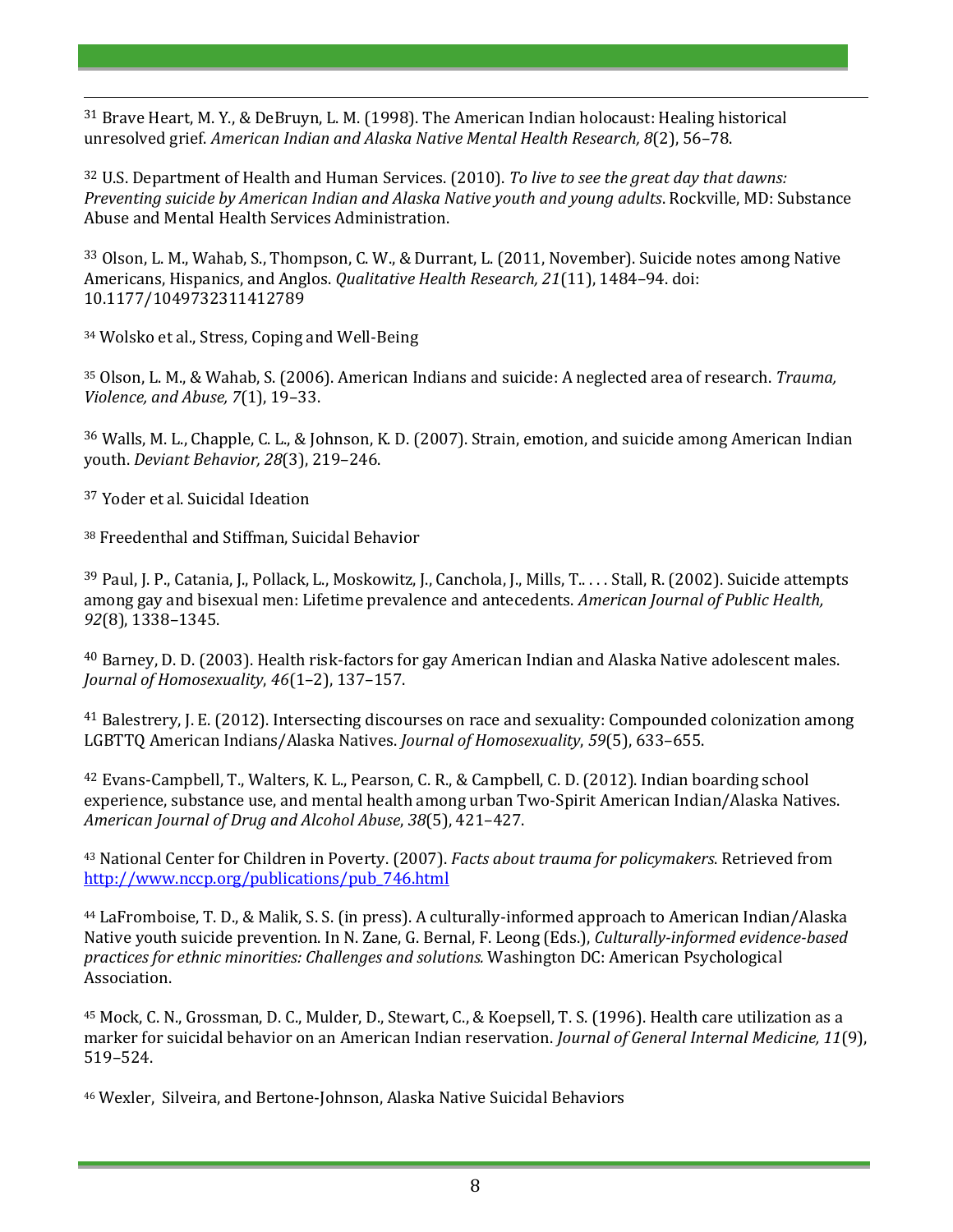<sup>31</sup> Brave Heart, M. Y., & DeBruyn, L. M. (1998). The American Indian holocaust: Healing historical unresolved grief. *American Indian and Alaska Native Mental Health Research, 8*(2), 56–78.

<sup>32</sup> U.S. Department of Health and Human Services. (2010). *To live to see the great day that dawns: Preventing suicide by American Indian and Alaska Native youth and young adults*. Rockville, MD: Substance Abuse and Mental Health Services Administration.

<sup>33</sup> Olson, L. M., Wahab, S., Thompson, C. W., & Durrant, L. (2011, November). Suicide notes among Native Americans, Hispanics, and Anglos. *Qualitative Health Research, 21*(11), 1484–94. doi: 10.1177/1049732311412789

<sup>34</sup> Wolsko et al., Stress, Coping and Well-Being

<sup>35</sup> Olson, L. M., & Wahab, S. (2006). American Indians and suicide: A neglected area of research. *Trauma, Violence, and Abuse, 7*(1), 19–33.

<sup>36</sup> Walls, M. L., Chapple, C. L., & Johnson, K. D. (2007). Strain, emotion, and suicide among American Indian youth. *Deviant Behavior, 28*(3), 219–246.

<sup>37</sup> Yoder et al. Suicidal Ideation

 $\overline{a}$ 

<sup>38</sup> Freedenthal and Stiffman, Suicidal Behavior

<sup>39</sup> Paul, J. P., Catania, J., Pollack, L., Moskowitz, J., Canchola, J., Mills, T.. . . . Stall, R. (2002). Suicide attempts among gay and bisexual men: Lifetime prevalence and antecedents. *American Journal of Public Health, 92*(8), 1338–1345.

<sup>40</sup> Barney, D. D. (2003). Health risk-factors for gay American Indian and Alaska Native adolescent males. *Journal of Homosexuality*, *46*(1–2), 137–157.

<sup>41</sup> Balestrery, J. E. (2012). Intersecting discourses on race and sexuality: Compounded colonization among LGBTTQ American Indians/Alaska Natives. *Journal of Homosexuality*, *59*(5), 633–655.

<sup>42</sup> Evans-Campbell, T., Walters, K. L., Pearson, C. R., & Campbell, C. D. (2012). Indian boarding school experience, substance use, and mental health among urban Two-Spirit American Indian/Alaska Natives. *American Journal of Drug and Alcohol Abuse*, *38*(5), 421–427.

<sup>43</sup> National Center for Children in Poverty. (2007). *Facts about trauma for policymakers*. Retrieved from [http://www.nccp.org/publications/pub\\_746.html](http://www.nccp.org/publications/pub_746.html)

<sup>44</sup> LaFromboise, T. D., & Malik, S. S. (in press). A culturally-informed approach to American Indian/Alaska Native youth suicide prevention. In N. Zane, G. Bernal, F. Leong (Eds.), *Culturally-informed evidence-based practices for ethnic minorities: Challenges and solutions.* Washington DC: American Psychological Association.

<sup>45</sup> Mock, C. N., Grossman, D. C., Mulder, D., Stewart, C., & Koepsell, T. S. (1996). Health care utilization as a marker for suicidal behavior on an American Indian reservation. *Journal of General Internal Medicine, 11*(9), 519–524.

<sup>46</sup> Wexler, Silveira, and Bertone-Johnson, Alaska Native Suicidal Behaviors